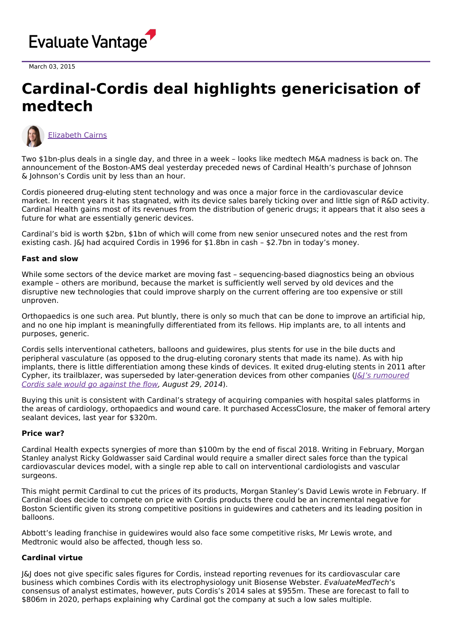

March 03, 2015

## **Cardinal-Cordis deal highlights genericisation of medtech**



[Elizabeth](https://www.evaluate.com/vantage/editorial-team/elizabeth-cairns) Cairns

Two \$1bn-plus deals in a single day, and three in a week – looks like medtech M&A madness is back on. The announcement of the Boston-AMS deal yesterday preceded news of Cardinal Health's purchase of Johnson & Johnson's Cordis unit by less than an hour.

Cordis pioneered drug-eluting stent technology and was once a major force in the cardiovascular device market. In recent years it has stagnated, with its device sales barely ticking over and little sign of R&D activity. Cardinal Health gains most of its revenues from the distribution of generic drugs; it appears that it also sees a future for what are essentially generic devices.

Cardinal's bid is worth \$2bn, \$1bn of which will come from new senior unsecured notes and the rest from existing cash. J&J had acquired Cordis in 1996 for \$1.8bn in cash – \$2.7bn in today's money.

## **Fast and slow**

While some sectors of the device market are moving fast – sequencing-based diagnostics being an obvious example – others are moribund, because the market is sufficiently well served by old devices and the disruptive new technologies that could improve sharply on the current offering are too expensive or still unproven.

Orthopaedics is one such area. Put bluntly, there is only so much that can be done to improve an artificial hip, and no one hip implant is meaningfully differentiated from its fellows. Hip implants are, to all intents and purposes, generic.

Cordis sells interventional catheters, balloons and guidewires, plus stents for use in the bile ducts and peripheral vasculature (as opposed to the drug-eluting coronary stents that made its name). As with hip implants, there is little differentiation among these kinds of devices. It exited drug-eluting stents in 2011 after Cypher, its trailblazer, was superseded by [later-generation](http://www.epvantage.com/Universal/View.aspx?type=Story&id=526840&isEPVantage=yes) devices from other companies ( $|\&$  /s rumoured Cordis sale would go against the flow, August 29, 2014).

Buying this unit is consistent with Cardinal's strategy of acquiring companies with hospital sales platforms in the areas of cardiology, orthopaedics and wound care. It purchased AccessClosure, the maker of femoral artery sealant devices, last year for \$320m.

## **Price war?**

Cardinal Health expects synergies of more than \$100m by the end of fiscal 2018. Writing in February, Morgan Stanley analyst Ricky Goldwasser said Cardinal would require a smaller direct sales force than the typical cardiovascular devices model, with a single rep able to call on interventional cardiologists and vascular surgeons.

This might permit Cardinal to cut the prices of its products, Morgan Stanley's David Lewis wrote in February. If Cardinal does decide to compete on price with Cordis products there could be an incremental negative for Boston Scientific given its strong competitive positions in guidewires and catheters and its leading position in balloons.

Abbott's leading franchise in guidewires would also face some competitive risks, Mr Lewis wrote, and Medtronic would also be affected, though less so.

## **Cardinal virtue**

J&J does not give specific sales figures for Cordis, instead reporting revenues for its cardiovascular care business which combines Cordis with its electrophysiology unit Biosense Webster. EvaluateMedTech's consensus of analyst estimates, however, puts Cordis's 2014 sales at \$955m. These are forecast to fall to \$806m in 2020, perhaps explaining why Cardinal got the company at such a low sales multiple.